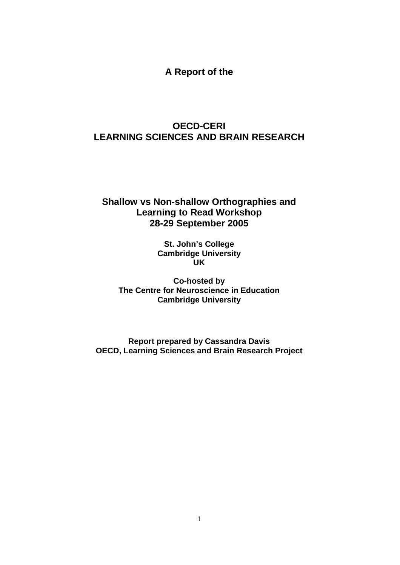**A Report of the** 

# **OECD-CERI LEARNING SCIENCES AND BRAIN RESEARCH**

# **Shallow vs Non-shallow Orthographies and Learning to Read Workshop 28-29 September 2005**

**St. John's College Cambridge University UK** 

**Co-hosted by The Centre for Neuroscience in Education Cambridge University** 

**Report prepared by Cassandra Davis OECD, Learning Sciences and Brain Research Project**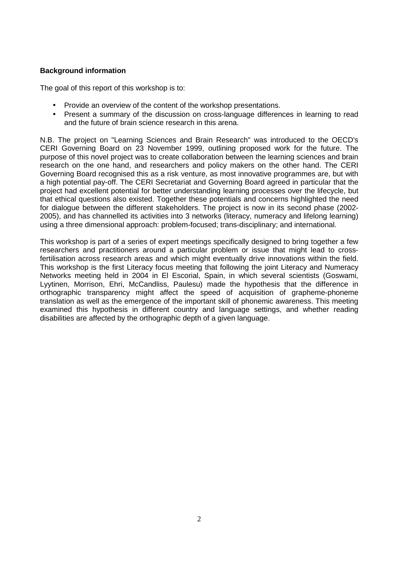# **Background information**

The goal of this report of this workshop is to:

- Provide an overview of the content of the workshop presentations.
- Present a summary of the discussion on cross-language differences in learning to read and the future of brain science research in this arena.

N.B. The project on "Learning Sciences and Brain Research" was introduced to the OECD's CERI Governing Board on 23 November 1999, outlining proposed work for the future. The purpose of this novel project was to create collaboration between the learning sciences and brain research on the one hand, and researchers and policy makers on the other hand. The CERI Governing Board recognised this as a risk venture, as most innovative programmes are, but with a high potential pay-off. The CERI Secretariat and Governing Board agreed in particular that the project had excellent potential for better understanding learning processes over the lifecycle, but that ethical questions also existed. Together these potentials and concerns highlighted the need for dialogue between the different stakeholders. The project is now in its second phase (2002- 2005), and has channelled its activities into 3 networks (literacy, numeracy and lifelong learning) using a three dimensional approach: problem-focused; trans-disciplinary; and international.

This workshop is part of a series of expert meetings specifically designed to bring together a few researchers and practitioners around a particular problem or issue that might lead to crossfertilisation across research areas and which might eventually drive innovations within the field. This workshop is the first Literacy focus meeting that following the joint Literacy and Numeracy Networks meeting held in 2004 in El Escorial, Spain, in which several scientists (Goswami, Lyytinen, Morrison, Ehri, McCandliss, Paulesu) made the hypothesis that the difference in orthographic transparency might affect the speed of acquisition of grapheme-phoneme translation as well as the emergence of the important skill of phonemic awareness. This meeting examined this hypothesis in different country and language settings, and whether reading disabilities are affected by the orthographic depth of a given language.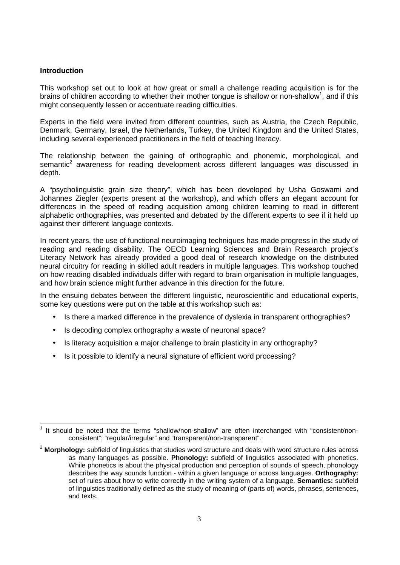## **Introduction**

This workshop set out to look at how great or small a challenge reading acquisition is for the brains of children according to whether their mother tongue is shallow or non-shallow<sup>1</sup>, and if this might consequently lessen or accentuate reading difficulties.

Experts in the field were invited from different countries, such as Austria, the Czech Republic, Denmark, Germany, Israel, the Netherlands, Turkey, the United Kingdom and the United States, including several experienced practitioners in the field of teaching literacy.

The relationship between the gaining of orthographic and phonemic, morphological, and semantic<sup>2</sup> awareness for reading development across different languages was discussed in depth.

A "psycholinguistic grain size theory", which has been developed by Usha Goswami and Johannes Ziegler (experts present at the workshop), and which offers an elegant account for differences in the speed of reading acquisition among children learning to read in different alphabetic orthographies, was presented and debated by the different experts to see if it held up against their different language contexts.

In recent years, the use of functional neuroimaging techniques has made progress in the study of reading and reading disability. The OECD Learning Sciences and Brain Research project's Literacy Network has already provided a good deal of research knowledge on the distributed neural circuitry for reading in skilled adult readers in multiple languages. This workshop touched on how reading disabled individuals differ with regard to brain organisation in multiple languages, and how brain science might further advance in this direction for the future.

In the ensuing debates between the different linguistic, neuroscientific and educational experts, some key questions were put on the table at this workshop such as:

- Is there a marked difference in the prevalence of dyslexia in transparent orthographies?
- Is decoding complex orthography a waste of neuronal space?
- Is literacy acquisition a major challenge to brain plasticity in any orthography?
- Is it possible to identify a neural signature of efficient word processing?

 $\overline{a}$  $1$  It should be noted that the terms "shallow/non-shallow" are often interchanged with "consistent/nonconsistent"; "regular/irregular" and "transparent/non-transparent".

<sup>2</sup> **Morphology:** subfield of linguistics that studies word structure and deals with word structure rules across as many languages as possible. **Phonology:** subfield of linguistics associated with phonetics. While phonetics is about the physical production and perception of sounds of speech, phonology describes the way sounds function - within a given language or across languages. **Orthography:** set of rules about how to write correctly in the writing system of a language. **Semantics:** subfield of linguistics traditionally defined as the study of meaning of (parts of) words, phrases, sentences, and texts.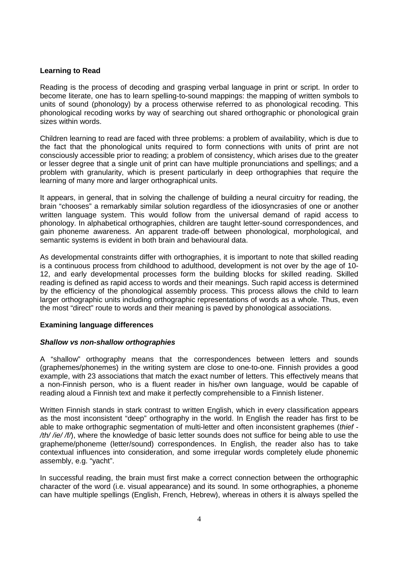# **Learning to Read**

Reading is the process of decoding and grasping verbal language in print or script. In order to become literate, one has to learn spelling-to-sound mappings: the mapping of written symbols to units of sound (phonology) by a process otherwise referred to as phonological recoding. This phonological recoding works by way of searching out shared orthographic or phonological grain sizes within words.

Children learning to read are faced with three problems: a problem of availability, which is due to the fact that the phonological units required to form connections with units of print are not consciously accessible prior to reading; a problem of consistency, which arises due to the greater or lesser degree that a single unit of print can have multiple pronunciations and spellings; and a problem with granularity, which is present particularly in deep orthographies that require the learning of many more and larger orthographical units.

It appears, in general, that in solving the challenge of building a neural circuitry for reading, the brain "chooses" a remarkably similar solution regardless of the idiosyncrasies of one or another written language system. This would follow from the universal demand of rapid access to phonology. In alphabetical orthographies, children are taught letter-sound correspondences, and gain phoneme awareness. An apparent trade-off between phonological, morphological, and semantic systems is evident in both brain and behavioural data.

As developmental constraints differ with orthographies, it is important to note that skilled reading is a continuous process from childhood to adulthood, development is not over by the age of 10- 12, and early developmental processes form the building blocks for skilled reading. Skilled reading is defined as rapid access to words and their meanings. Such rapid access is determined by the efficiency of the phonological assembly process. This process allows the child to learn larger orthographic units including orthographic representations of words as a whole. Thus, even the most "direct" route to words and their meaning is paved by phonological associations.

# **Examining language differences**

# **Shallow vs non-shallow orthographies**

A "shallow" orthography means that the correspondences between letters and sounds (graphemes/phonemes) in the writing system are close to one-to-one. Finnish provides a good example, with 23 associations that match the exact number of letters. This effectively means that a non-Finnish person, who is a fluent reader in his/her own language, would be capable of reading aloud a Finnish text and make it perfectly comprehensible to a Finnish listener.

Written Finnish stands in stark contrast to written English, which in every classification appears as the most inconsistent "deep" orthography in the world. In English the reader has first to be able to make orthographic segmentation of multi-letter and often inconsistent graphemes (thief -/th//ie//f/), where the knowledge of basic letter sounds does not suffice for being able to use the grapheme/phoneme (letter/sound) correspondences. In English, the reader also has to take contextual influences into consideration, and some irregular words completely elude phonemic assembly, e.g. "yacht".

In successful reading, the brain must first make a correct connection between the orthographic character of the word (i.e. visual appearance) and its sound. In some orthographies, a phoneme can have multiple spellings (English, French, Hebrew), whereas in others it is always spelled the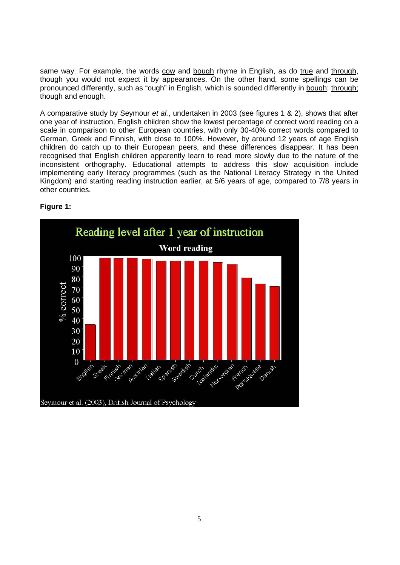same way. For example, the words cow and bough rhyme in English, as do true and through, though you would not expect it by appearances. On the other hand, some spellings can be pronounced differently, such as "ough" in English, which is sounded differently in bough; through; though and enough.

A comparative study by Seymour et al., undertaken in 2003 (see figures 1 & 2), shows that after one year of instruction, English children show the lowest percentage of correct word reading on a scale in comparison to other European countries, with only 30-40% correct words compared to German, Greek and Finnish, with close to 100%. However, by around 12 years of age English children do catch up to their European peers, and these differences disappear. It has been recognised that English children apparently learn to read more slowly due to the nature of the inconsistent orthography. Educational attempts to address this slow acquisition include implementing early literacy programmes (such as the National Literacy Strategy in the United Kingdom) and starting reading instruction earlier, at 5/6 years of age, compared to 7/8 years in other countries.



# **Figure 1:**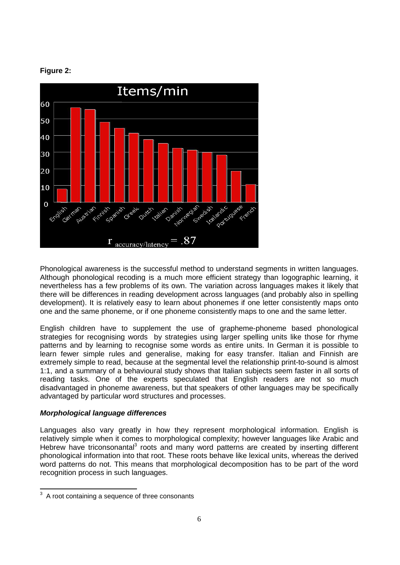



Phonological awareness is the successful method to understand segments in written languages. Although phonological recoding is a much more efficient strategy than logographic learning, it nevertheless has a few problems of its own. The variation across languages makes it likely that there will be differences in reading development across languages (and probably also in spelling development). It is relatively easy to learn about phonemes if one letter consistently maps onto one and the same phoneme, or if one phoneme consistently maps to one and the same letter.

English children have to supplement the use of grapheme-phoneme based phonological strategies for recognising words by strategies using larger spelling units like those for rhyme patterns and by learning to recognise some words as entire units. In German it is possible to learn fewer simple rules and generalise, making for easy transfer. Italian and Finnish are extremely simple to read, because at the segmental level the relationship print-to-sound is almost 1:1, and a summary of a behavioural study shows that Italian subjects seem faster in all sorts of reading tasks. One of the experts speculated that English readers are not so much disadvantaged in phoneme awareness, but that speakers of other languages may be specifically advantaged by particular word structures and processes.

# **Morphological language differences**

Languages also vary greatly in how they represent morphological information. English is relatively simple when it comes to morphological complexity; however languages like Arabic and Hebrew have triconsonantal<sup>3</sup> roots and many word patterns are created by inserting different phonological information into that root. These roots behave like lexical units, whereas the derived word patterns do not. This means that morphological decomposition has to be part of the word recognition process in such languages.

<sup>3</sup> A root containing a sequence of three consonants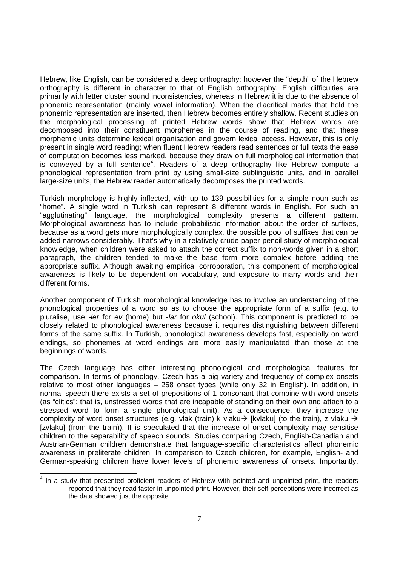Hebrew, like English, can be considered a deep orthography; however the "depth" of the Hebrew orthography is different in character to that of English orthography. English difficulties are primarily with letter cluster sound inconsistencies, whereas in Hebrew it is due to the absence of phonemic representation (mainly vowel information). When the diacritical marks that hold the phonemic representation are inserted, then Hebrew becomes entirely shallow. Recent studies on the morphological processing of printed Hebrew words show that Hebrew words are decomposed into their constituent morphemes in the course of reading, and that these morphemic units determine lexical organisation and govern lexical access. However, this is only present in single word reading; when fluent Hebrew readers read sentences or full texts the ease of computation becomes less marked, because they draw on full morphological information that is conveyed by a full sentence<sup>4</sup>. Readers of a deep orthography like Hebrew compute a phonological representation from print by using small-size sublinguistic units, and in parallel large-size units, the Hebrew reader automatically decomposes the printed words.

Turkish morphology is highly inflected, with up to 139 possibilities for a simple noun such as "home". A single word in Turkish can represent 8 different words in English. For such an "agglutinating" language, the morphological complexity presents a different pattern. Morphological awareness has to include probabilistic information about the order of suffixes, because as a word gets more morphologically complex, the possible pool of suffixes that can be added narrows considerably. That's why in a relatively crude paper-pencil study of morphological knowledge, when children were asked to attach the correct suffix to non-words given in a short paragraph, the children tended to make the base form more complex before adding the appropriate suffix. Although awaiting empirical corroboration, this component of morphological awareness is likely to be dependent on vocabulary, and exposure to many words and their different forms.

Another component of Turkish morphological knowledge has to involve an understanding of the phonological properties of a word so as to choose the appropriate form of a suffix (e.g. to pluralise, use -ler for ev (home) but -lar for okul (school). This component is predicted to be closely related to phonological awareness because it requires distinguishing between different forms of the same suffix. In Turkish, phonological awareness develops fast, especially on word endings, so phonemes at word endings are more easily manipulated than those at the beginnings of words.

The Czech language has other interesting phonological and morphological features for comparison. In terms of phonology, Czech has a big variety and frequency of complex onsets relative to most other languages – 258 onset types (while only 32 in English). In addition, in normal speech there exists a set of prepositions of 1 consonant that combine with word onsets (as "clitics"; that is, unstressed words that are incapable of standing on their own and attach to a stressed word to form a single phonological unit). As a consequence, they increase the complexity of word onset structures (e.g. vlak (train) k vlaku $\rightarrow$  [kvlaku] (to the train), z vlaku  $\rightarrow$ [zvlaku] (from the train)). It is speculated that the increase of onset complexity may sensitise children to the separability of speech sounds. Studies comparing Czech, English-Canadian and Austrian-German children demonstrate that language-specific characteristics affect phonemic awareness in preliterate children. In comparison to Czech children, for example, English- and German-speaking children have lower levels of phonemic awareness of onsets. Importantly,

 $\overline{a}$  $4$  In a study that presented proficient readers of Hebrew with pointed and unpointed print, the readers reported that they read faster in unpointed print. However, their self-perceptions were incorrect as the data showed just the opposite.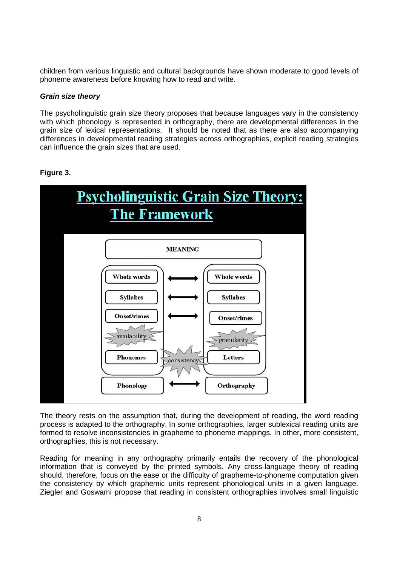children from various linguistic and cultural backgrounds have shown moderate to good levels of phoneme awareness before knowing how to read and write.

#### **Grain size theory**

The psycholinguistic grain size theory proposes that because languages vary in the consistency with which phonology is represented in orthography, there are developmental differences in the grain size of lexical representations. It should be noted that as there are also accompanying differences in developmental reading strategies across orthographies, explicit reading strategies can influence the grain sizes that are used.



# **Figure 3.**

The theory rests on the assumption that, during the development of reading, the word reading process is adapted to the orthography. In some orthographies, larger sublexical reading units are formed to resolve inconsistencies in grapheme to phoneme mappings. In other, more consistent, orthographies, this is not necessary.

Reading for meaning in any orthography primarily entails the recovery of the phonological information that is conveyed by the printed symbols. Any cross-language theory of reading should, therefore, focus on the ease or the difficulty of grapheme-to-phoneme computation given the consistency by which graphemic units represent phonological units in a given language. Ziegler and Goswami propose that reading in consistent orthographies involves small linguistic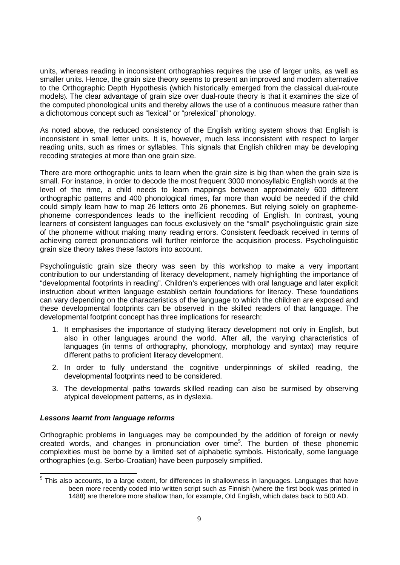units, whereas reading in inconsistent orthographies requires the use of larger units, as well as smaller units. Hence, the grain size theory seems to present an improved and modern alternative to the Orthographic Depth Hypothesis (which historically emerged from the classical dual-route models). The clear advantage of grain size over dual-route theory is that it examines the size of the computed phonological units and thereby allows the use of a continuous measure rather than a dichotomous concept such as "lexical" or "prelexical" phonology.

As noted above, the reduced consistency of the English writing system shows that English is inconsistent in small letter units. It is, however, much less inconsistent with respect to larger reading units, such as rimes or syllables. This signals that English children may be developing recoding strategies at more than one grain size.

There are more orthographic units to learn when the grain size is big than when the grain size is small. For instance, in order to decode the most frequent 3000 monosyllabic English words at the level of the rime, a child needs to learn mappings between approximately 600 different orthographic patterns and 400 phonological rimes, far more than would be needed if the child could simply learn how to map 26 letters onto 26 phonemes. But relying solely on graphemephoneme correspondences leads to the inefficient recoding of English. In contrast, young learners of consistent languages can focus exclusively on the "small" psycholinguistic grain size of the phoneme without making many reading errors. Consistent feedback received in terms of achieving correct pronunciations will further reinforce the acquisition process. Psycholinguistic grain size theory takes these factors into account.

Psycholinguistic grain size theory was seen by this workshop to make a very important contribution to our understanding of literacy development, namely highlighting the importance of "developmental footprints in reading". Children's experiences with oral language and later explicit instruction about written language establish certain foundations for literacy. These foundations can vary depending on the characteristics of the language to which the children are exposed and these developmental footprints can be observed in the skilled readers of that language. The developmental footprint concept has three implications for research:

- 1. It emphasises the importance of studying literacy development not only in English, but also in other languages around the world. After all, the varying characteristics of languages (in terms of orthography, phonology, morphology and syntax) may require different paths to proficient literacy development.
- 2. In order to fully understand the cognitive underpinnings of skilled reading, the developmental footprints need to be considered.
- 3. The developmental paths towards skilled reading can also be surmised by observing atypical development patterns, as in dyslexia.

# **Lessons learnt from language reforms**

Orthographic problems in languages may be compounded by the addition of foreign or newly created words, and changes in pronunciation over time<sup>5</sup>. The burden of these phonemic complexities must be borne by a limited set of alphabetic symbols. Historically, some language orthographies (e.g. Serbo-Croatian) have been purposely simplified.

 $\overline{a}$  $<sup>5</sup>$  This also accounts, to a large extent, for differences in shallowness in languages. Languages that have</sup> been more recently coded into written script such as Finnish (where the first book was printed in 1488) are therefore more shallow than, for example, Old English, which dates back to 500 AD.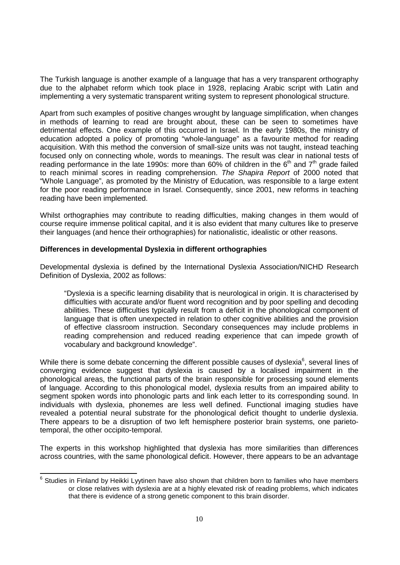The Turkish language is another example of a language that has a very transparent orthography due to the alphabet reform which took place in 1928, replacing Arabic script with Latin and implementing a very systematic transparent writing system to represent phonological structure.

Apart from such examples of positive changes wrought by language simplification, when changes in methods of learning to read are brought about, these can be seen to sometimes have detrimental effects. One example of this occurred in Israel. In the early 1980s, the ministry of education adopted a policy of promoting "whole-language" as a favourite method for reading acquisition. With this method the conversion of small-size units was not taught, instead teaching focused only on connecting whole, words to meanings. The result was clear in national tests of reading performance in the late 1990s: more than  $60\%$  of children in the  $6<sup>th</sup>$  and  $7<sup>th</sup>$  grade failed to reach minimal scores in reading comprehension. The Shapira Report of 2000 noted that "Whole Language", as promoted by the Ministry of Education, was responsible to a large extent for the poor reading performance in Israel. Consequently, since 2001, new reforms in teaching reading have been implemented.

Whilst orthographies may contribute to reading difficulties, making changes in them would of course require immense political capital, and it is also evident that many cultures like to preserve their languages (and hence their orthographies) for nationalistic, idealistic or other reasons.

## **Differences in developmental Dyslexia in different orthographies**

Developmental dyslexia is defined by the International Dyslexia Association/NICHD Research Definition of Dyslexia, 2002 as follows:

"Dyslexia is a specific learning disability that is neurological in origin. It is characterised by difficulties with accurate and/or fluent word recognition and by poor spelling and decoding abilities. These difficulties typically result from a deficit in the phonological component of language that is often unexpected in relation to other cognitive abilities and the provision of effective classroom instruction. Secondary consequences may include problems in reading comprehension and reduced reading experience that can impede growth of vocabulary and background knowledge".

While there is some debate concerning the different possible causes of dyslexia $6$ , several lines of converging evidence suggest that dyslexia is caused by a localised impairment in the phonological areas, the functional parts of the brain responsible for processing sound elements of language. According to this phonological model, dyslexia results from an impaired ability to segment spoken words into phonologic parts and link each letter to its corresponding sound. In individuals with dyslexia, phonemes are less well defined. Functional imaging studies have revealed a potential neural substrate for the phonological deficit thought to underlie dyslexia. There appears to be a disruption of two left hemisphere posterior brain systems, one parietotemporal, the other occipito-temporal.

The experts in this workshop highlighted that dyslexia has more similarities than differences across countries, with the same phonological deficit. However, there appears to be an advantage

 6 Studies in Finland by Heikki Lyytinen have also shown that children born to families who have members or close relatives with dyslexia are at a highly elevated risk of reading problems, which indicates that there is evidence of a strong genetic component to this brain disorder.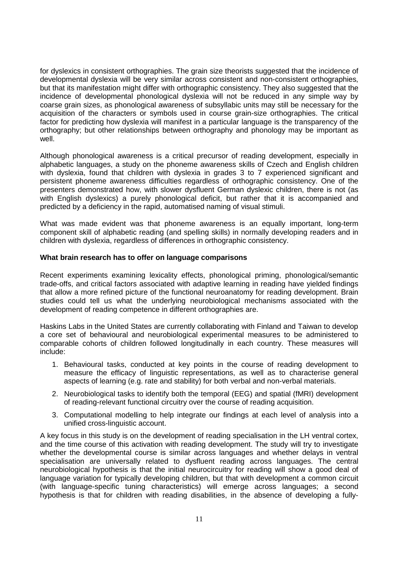for dyslexics in consistent orthographies. The grain size theorists suggested that the incidence of developmental dyslexia will be very similar across consistent and non-consistent orthographies, but that its manifestation might differ with orthographic consistency. They also suggested that the incidence of developmental phonological dyslexia will not be reduced in any simple way by coarse grain sizes, as phonological awareness of subsyllabic units may still be necessary for the acquisition of the characters or symbols used in course grain-size orthographies. The critical factor for predicting how dyslexia will manifest in a particular language is the transparency of the orthography; but other relationships between orthography and phonology may be important as well.

Although phonological awareness is a critical precursor of reading development, especially in alphabetic languages, a study on the phoneme awareness skills of Czech and English children with dyslexia, found that children with dyslexia in grades 3 to 7 experienced significant and persistent phoneme awareness difficulties regardless of orthographic consistency. One of the presenters demonstrated how, with slower dysfluent German dyslexic children, there is not (as with English dyslexics) a purely phonological deficit, but rather that it is accompanied and predicted by a deficiency in the rapid, automatised naming of visual stimuli.

What was made evident was that phoneme awareness is an equally important, long-term component skill of alphabetic reading (and spelling skills) in normally developing readers and in children with dyslexia, regardless of differences in orthographic consistency.

#### **What brain research has to offer on language comparisons**

Recent experiments examining lexicality effects, phonological priming, phonological/semantic trade-offs, and critical factors associated with adaptive learning in reading have yielded findings that allow a more refined picture of the functional neuroanatomy for reading development. Brain studies could tell us what the underlying neurobiological mechanisms associated with the development of reading competence in different orthographies are.

Haskins Labs in the United States are currently collaborating with Finland and Taiwan to develop a core set of behavioural and neurobiological experimental measures to be administered to comparable cohorts of children followed longitudinally in each country. These measures will include:

- 1. Behavioural tasks, conducted at key points in the course of reading development to measure the efficacy of linguistic representations, as well as to characterise general aspects of learning (e.g. rate and stability) for both verbal and non-verbal materials.
- 2. Neurobiological tasks to identify both the temporal (EEG) and spatial (fMRI) development of reading-relevant functional circuitry over the course of reading acquisition.
- 3. Computational modelling to help integrate our findings at each level of analysis into a unified cross-linguistic account.

A key focus in this study is on the development of reading specialisation in the LH ventral cortex, and the time course of this activation with reading development. The study will try to investigate whether the developmental course is similar across languages and whether delays in ventral specialisation are universally related to dysfluent reading across languages. The central neurobiological hypothesis is that the initial neurocircuitry for reading will show a good deal of language variation for typically developing children, but that with development a common circuit (with language-specific tuning characteristics) will emerge across languages; a second hypothesis is that for children with reading disabilities, in the absence of developing a fully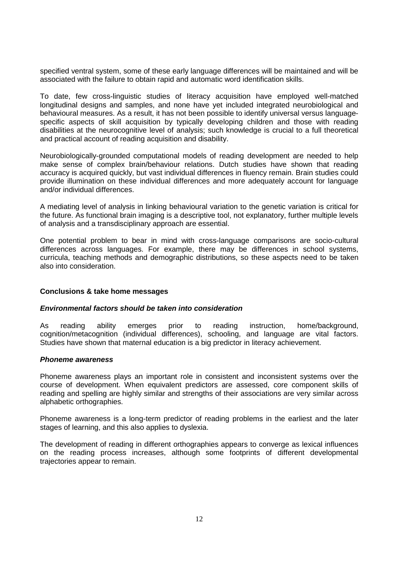specified ventral system, some of these early language differences will be maintained and will be associated with the failure to obtain rapid and automatic word identification skills.

To date, few cross-linguistic studies of literacy acquisition have employed well-matched longitudinal designs and samples, and none have yet included integrated neurobiological and behavioural measures. As a result, it has not been possible to identify universal versus languagespecific aspects of skill acquisition by typically developing children and those with reading disabilities at the neurocognitive level of analysis; such knowledge is crucial to a full theoretical and practical account of reading acquisition and disability.

Neurobiologically-grounded computational models of reading development are needed to help make sense of complex brain/behaviour relations. Dutch studies have shown that reading accuracy is acquired quickly, but vast individual differences in fluency remain. Brain studies could provide illumination on these individual differences and more adequately account for language and/or individual differences.

A mediating level of analysis in linking behavioural variation to the genetic variation is critical for the future. As functional brain imaging is a descriptive tool, not explanatory, further multiple levels of analysis and a transdisciplinary approach are essential.

One potential problem to bear in mind with cross-language comparisons are socio-cultural differences across languages. For example, there may be differences in school systems, curricula, teaching methods and demographic distributions, so these aspects need to be taken also into consideration.

#### **Conclusions & take home messages**

#### **Environmental factors should be taken into consideration**

As reading ability emerges prior to reading instruction, home/background, cognition/metacognition (individual differences), schooling, and language are vital factors. Studies have shown that maternal education is a big predictor in literacy achievement.

#### **Phoneme awareness**

Phoneme awareness plays an important role in consistent and inconsistent systems over the course of development. When equivalent predictors are assessed, core component skills of reading and spelling are highly similar and strengths of their associations are very similar across alphabetic orthographies.

Phoneme awareness is a long-term predictor of reading problems in the earliest and the later stages of learning, and this also applies to dyslexia.

The development of reading in different orthographies appears to converge as lexical influences on the reading process increases, although some footprints of different developmental trajectories appear to remain.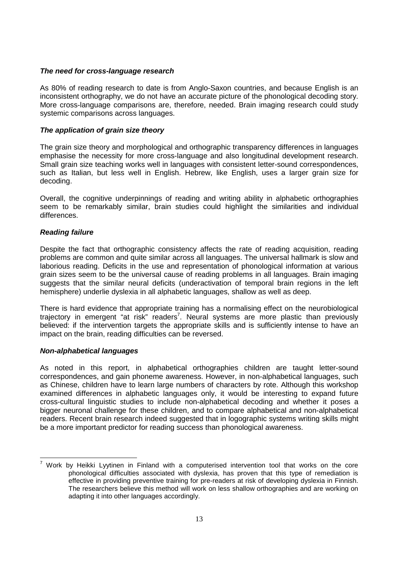## **The need for cross-language research**

As 80% of reading research to date is from Anglo-Saxon countries, and because English is an inconsistent orthography, we do not have an accurate picture of the phonological decoding story. More cross-language comparisons are, therefore, needed. Brain imaging research could study systemic comparisons across languages.

## **The application of grain size theory**

The grain size theory and morphological and orthographic transparency differences in languages emphasise the necessity for more cross-language and also longitudinal development research. Small grain size teaching works well in languages with consistent letter-sound correspondences, such as Italian, but less well in English. Hebrew, like English, uses a larger grain size for decoding.

Overall, the cognitive underpinnings of reading and writing ability in alphabetic orthographies seem to be remarkably similar, brain studies could highlight the similarities and individual differences.

## **Reading failure**

Despite the fact that orthographic consistency affects the rate of reading acquisition, reading problems are common and quite similar across all languages. The universal hallmark is slow and laborious reading. Deficits in the use and representation of phonological information at various grain sizes seem to be the universal cause of reading problems in all languages. Brain imaging suggests that the similar neural deficits (underactivation of temporal brain regions in the left hemisphere) underlie dyslexia in all alphabetic languages, shallow as well as deep.

There is hard evidence that appropriate training has a normalising effect on the neurobiological trajectory in emergent "at risk" readers<sup>7</sup>. Neural systems are more plastic than previously believed: if the intervention targets the appropriate skills and is sufficiently intense to have an impact on the brain, reading difficulties can be reversed.

# **Non-alphabetical languages**

 $\overline{a}$ 

As noted in this report, in alphabetical orthographies children are taught letter-sound correspondences, and gain phoneme awareness. However, in non-alphabetical languages, such as Chinese, children have to learn large numbers of characters by rote. Although this workshop examined differences in alphabetic languages only, it would be interesting to expand future cross-cultural linguistic studies to include non-alphabetical decoding and whether it poses a bigger neuronal challenge for these children, and to compare alphabetical and non-alphabetical readers. Recent brain research indeed suggested that in logographic systems writing skills might be a more important predictor for reading success than phonological awareness.

<sup>7</sup> Work by Heikki Lyytinen in Finland with a computerised intervention tool that works on the core phonological difficulties associated with dyslexia, has proven that this type of remediation is effective in providing preventive training for pre-readers at risk of developing dyslexia in Finnish. The researchers believe this method will work on less shallow orthographies and are working on adapting it into other languages accordingly.